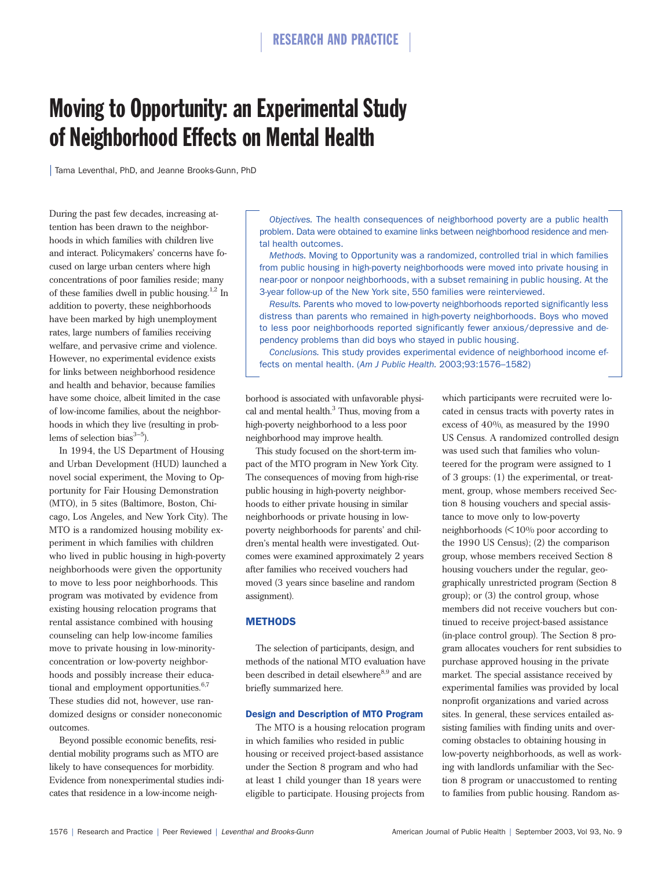# Moving to Opportunity: an Experimental Study of Neighborhood Effects on Mental Health

| Tama Leventhal, PhD, and Jeanne Brooks-Gunn, PhD

During the past few decades, increasing attention has been drawn to the neighborhoods in which families with children live and interact. Policymakers' concerns have focused on large urban centers where high concentrations of poor families reside; many of these families dwell in public housing.<sup>1,2</sup> In addition to poverty, these neighborhoods have been marked by high unemployment rates, large numbers of families receiving welfare, and pervasive crime and violence. However, no experimental evidence exists for links between neighborhood residence and health and behavior, because families have some choice, albeit limited in the case of low-income families, about the neighborhoods in which they live (resulting in problems of selection bias $3-5$ ).

In 1994, the US Department of Housing and Urban Development (HUD) launched a novel social experiment, the Moving to Opportunity for Fair Housing Demonstration (MTO), in 5 sites (Baltimore, Boston, Chicago, Los Angeles, and New York City). The MTO is a randomized housing mobility experiment in which families with children who lived in public housing in high-poverty neighborhoods were given the opportunity to move to less poor neighborhoods. This program was motivated by evidence from existing housing relocation programs that rental assistance combined with housing counseling can help low-income families move to private housing in low-minorityconcentration or low-poverty neighborhoods and possibly increase their educational and employment opportunities.<sup>6,7</sup> These studies did not, however, use randomized designs or consider noneconomic outcomes.

Beyond possible economic benefits, residential mobility programs such as MTO are likely to have consequences for morbidity. Evidence from nonexperimental studies indicates that residence in a low-income neigh-

*Objectives.* The health consequences of neighborhood poverty are a public health problem. Data were obtained to examine links between neighborhood residence and mental health outcomes.

*Methods.* Moving to Opportunity was a randomized, controlled trial in which families from public housing in high-poverty neighborhoods were moved into private housing in near-poor or nonpoor neighborhoods, with a subset remaining in public housing. At the 3-year follow-up of the New York site, 550 families were reinterviewed.

*Results.* Parents who moved to low-poverty neighborhoods reported significantly less distress than parents who remained in high-poverty neighborhoods. Boys who moved to less poor neighborhoods reported significantly fewer anxious/depressive and dependency problems than did boys who stayed in public housing.

*Conclusions.* This study provides experimental evidence of neighborhood income effects on mental health. (*Am J Public Health.* 2003;93:1576–1582)

borhood is associated with unfavorable physical and mental health.<sup>3</sup> Thus, moving from a high-poverty neighborhood to a less poor neighborhood may improve health.

This study focused on the short-term impact of the MTO program in New York City. The consequences of moving from high-rise public housing in high-poverty neighborhoods to either private housing in similar neighborhoods or private housing in lowpoverty neighborhoods for parents' and children's mental health were investigated. Outcomes were examined approximately 2 years after families who received vouchers had moved (3 years since baseline and random assignment).

## **METHODS**

The selection of participants, design, and methods of the national MTO evaluation have been described in detail elsewhere<sup>8,9</sup> and are briefly summarized here.

## Design and Description of MTO Program

The MTO is a housing relocation program in which families who resided in public housing or received project-based assistance under the Section 8 program and who had at least 1 child younger than 18 years were eligible to participate. Housing projects from which participants were recruited were located in census tracts with poverty rates in excess of 40%, as measured by the 1990 US Census. A randomized controlled design was used such that families who volunteered for the program were assigned to 1 of 3 groups: (1) the experimental, or treatment, group, whose members received Section 8 housing vouchers and special assistance to move only to low-poverty neighborhoods (< 10% poor according to the 1990 US Census); (2) the comparison group, whose members received Section 8 housing vouchers under the regular, geographically unrestricted program (Section 8 group); or (3) the control group, whose members did not receive vouchers but continued to receive project-based assistance (in-place control group). The Section 8 program allocates vouchers for rent subsidies to purchase approved housing in the private market. The special assistance received by experimental families was provided by local nonprofit organizations and varied across sites. In general, these services entailed assisting families with finding units and overcoming obstacles to obtaining housing in low-poverty neighborhoods, as well as working with landlords unfamiliar with the Section 8 program or unaccustomed to renting to families from public housing. Random as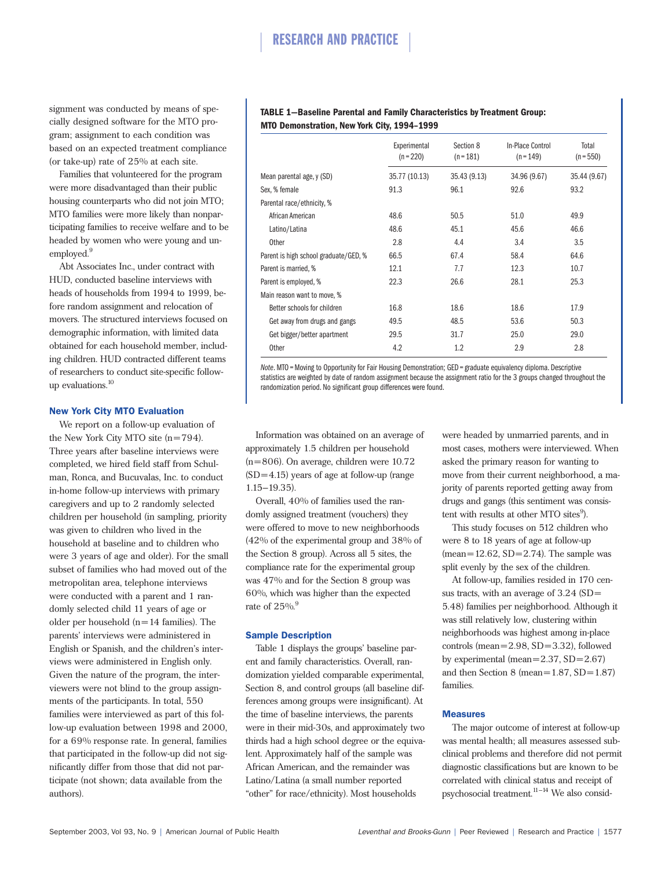signment was conducted by means of specially designed software for the MTO program; assignment to each condition was based on an expected treatment compliance (or take-up) rate of 25% at each site.

Families that volunteered for the program were more disadvantaged than their public housing counterparts who did not join MTO; MTO families were more likely than nonparticipating families to receive welfare and to be headed by women who were young and unemployed.<sup>9</sup>

Abt Associates Inc., under contract with HUD, conducted baseline interviews with heads of households from 1994 to 1999, before random assignment and relocation of movers. The structured interviews focused on demographic information, with limited data obtained for each household member, including children. HUD contracted different teams of researchers to conduct site-specific followup evaluations.<sup>10</sup>

## New York City MTO Evaluation

We report on a follow-up evaluation of the New York City MTO site  $(n=794)$ . Three years after baseline interviews were completed, we hired field staff from Schulman, Ronca, and Bucuvalas, Inc. to conduct in-home follow-up interviews with primary caregivers and up to 2 randomly selected children per household (in sampling, priority was given to children who lived in the household at baseline and to children who were 3 years of age and older). For the small subset of families who had moved out of the metropolitan area, telephone interviews were conducted with a parent and 1 randomly selected child 11 years of age or older per household  $(n=14$  families). The parents' interviews were administered in English or Spanish, and the children's interviews were administered in English only. Given the nature of the program, the interviewers were not blind to the group assignments of the participants. In total, 550 families were interviewed as part of this follow-up evaluation between 1998 and 2000, for a 69% response rate. In general, families that participated in the follow-up did not significantly differ from those that did not participate (not shown; data available from the authors).

## **TABLE 1—Baseline Parental and Family Characteristics by Treatment Group: MTO Demonstration, New York City, 1994–1999**

|                                       | Experimental<br>$(n = 220)$ | Section 8<br>$(n = 181)$ | In-Place Control<br>$(n = 149)$ | Total<br>$(n = 550)$ |
|---------------------------------------|-----------------------------|--------------------------|---------------------------------|----------------------|
| Mean parental age, y (SD)             | 35.77 (10.13)               | 35.43 (9.13)             | 34.96 (9.67)                    | 35.44 (9.67)         |
| Sex, % female                         | 91.3                        | 96.1                     | 92.6                            | 93.2                 |
| Parental race/ethnicity, %            |                             |                          |                                 |                      |
| African American                      | 48.6                        | 50.5                     | 51.0                            | 49.9                 |
| Latino/Latina                         | 48.6                        | 45.1                     | 45.6                            | 46.6                 |
| <b>Other</b>                          | 2.8                         | 4.4                      | 3.4                             | 3.5                  |
| Parent is high school graduate/GED, % | 66.5                        | 67.4                     | 58.4                            | 64.6                 |
| Parent is married, %                  | 12.1                        | 7.7                      | 12.3                            | 10.7                 |
| Parent is employed, %                 | 22.3                        | 26.6                     | 28.1                            | 25.3                 |
| Main reason want to move, %           |                             |                          |                                 |                      |
| Better schools for children           | 16.8                        | 18.6                     | 18.6                            | 17.9                 |
| Get away from drugs and gangs         | 49.5                        | 48.5                     | 53.6                            | 50.3                 |
| Get bigger/better apartment           | 29.5                        | 31.7                     | 25.0                            | 29.0                 |
| <b>Other</b>                          | 4.2                         | 1.2                      | 2.9                             | 2.8                  |

*Note*. MTO=Moving to Opportunity for Fair Housing Demonstration; GED = graduate equivalency diploma. Descriptive statistics are weighted by date of random assignment because the assignment ratio for the 3 groups changed throughout the randomization period. No significant group differences were found.

Information was obtained on an average of approximately 1.5 children per household (n=806). On average, children were 10.72  $(SD=4.15)$  years of age at follow-up (range) 1.15–19.35).

Overall, 40% of families used the randomly assigned treatment (vouchers) they were offered to move to new neighborhoods (42% of the experimental group and 38% of the Section 8 group). Across all 5 sites, the compliance rate for the experimental group was 47% and for the Section 8 group was 60%, which was higher than the expected rate of  $25\%$ <sup>9</sup>

## Sample Description

Table 1 displays the groups' baseline parent and family characteristics. Overall, randomization yielded comparable experimental, Section 8, and control groups (all baseline differences among groups were insignificant). At the time of baseline interviews, the parents were in their mid-30s, and approximately two thirds had a high school degree or the equivalent. Approximately half of the sample was African American, and the remainder was Latino/Latina (a small number reported "other" for race/ethnicity). Most households

were headed by unmarried parents, and in most cases, mothers were interviewed. When asked the primary reason for wanting to move from their current neighborhood, a majority of parents reported getting away from drugs and gangs (this sentiment was consistent with results at other MTO sites<sup>9</sup>).

This study focuses on 512 children who were 8 to 18 years of age at follow-up  $(mean=12.62, SD=2.74)$ . The sample was split evenly by the sex of the children.

At follow-up, families resided in 170 census tracts, with an average of 3.24 (SD= 5.48) families per neighborhood. Although it was still relatively low, clustering within neighborhoods was highest among in-place controls (mean=2.98, SD=3.32), followed by experimental (mean=2.37, SD=2.67) and then Section 8 (mean= $1.87$ , SD= $1.87$ ) families.

## **Measures**

The major outcome of interest at follow-up was mental health; all measures assessed subclinical problems and therefore did not permit diagnostic classifications but are known to be correlated with clinical status and receipt of psychosocial treatment.11–14 We also consid-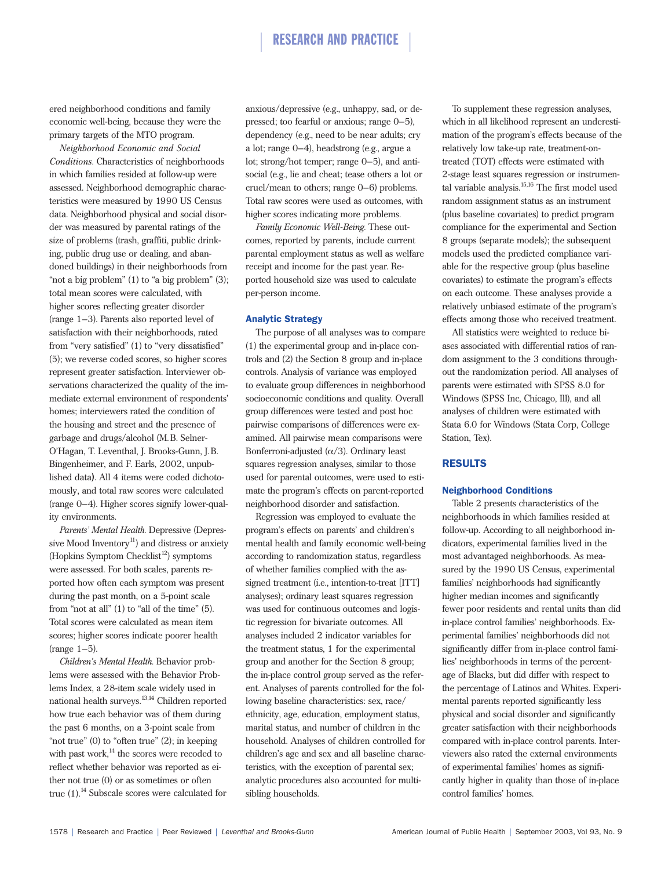## RESEARCH AND PRACTICE

ered neighborhood conditions and family economic well-being, because they were the primary targets of the MTO program.

*Neighborhood Economic and Social Conditions.* Characteristics of neighborhoods in which families resided at follow-up were assessed. Neighborhood demographic characteristics were measured by 1990 US Census data. Neighborhood physical and social disorder was measured by parental ratings of the size of problems (trash, graffiti, public drinking, public drug use or dealing, and abandoned buildings) in their neighborhoods from "not a big problem" (1) to "a big problem" (3); total mean scores were calculated, with higher scores reflecting greater disorder (range 1–3). Parents also reported level of satisfaction with their neighborhoods, rated from "very satisfied" (1) to "very dissatisfied" (5); we reverse coded scores, so higher scores represent greater satisfaction. Interviewer observations characterized the quality of the immediate external environment of respondents' homes; interviewers rated the condition of the housing and street and the presence of garbage and drugs/alcohol (M.B. Selner-O'Hagan, T. Leventhal, J. Brooks-Gunn, J.B. Bingenheimer, and F. Earls, 2002, unpublished data**)**. All 4 items were coded dichotomously, and total raw scores were calculated (range 0–4). Higher scores signify lower-quality environments.

*Parents' Mental Health.* Depressive (Depressive Mood Inventory<sup>11</sup>) and distress or anxiety (Hopkins Symptom Checklist $12$ ) symptoms were assessed. For both scales, parents reported how often each symptom was present during the past month, on a 5-point scale from "not at all" (1) to "all of the time" (5). Total scores were calculated as mean item scores; higher scores indicate poorer health  $(range 1-5)$ .

*Children's Mental Health.* Behavior problems were assessed with the Behavior Problems Index, a 28-item scale widely used in national health surveys.<sup>13,14</sup> Children reported how true each behavior was of them during the past 6 months, on a 3-point scale from "not true" (0) to "often true" (2); in keeping with past work,<sup>14</sup> the scores were recoded to reflect whether behavior was reported as either not true (0) or as sometimes or often true  $(1)$ .<sup>14</sup> Subscale scores were calculated for anxious/depressive (e.g., unhappy, sad, or depressed; too fearful or anxious; range 0–5), dependency (e.g., need to be near adults; cry a lot; range 0–4), headstrong (e.g., argue a lot; strong/hot temper; range 0–5), and antisocial (e.g., lie and cheat; tease others a lot or cruel/mean to others; range 0–6) problems. Total raw scores were used as outcomes, with higher scores indicating more problems.

*Family Economic Well-Being.* These outcomes, reported by parents, include current parental employment status as well as welfare receipt and income for the past year. Reported household size was used to calculate per-person income.

## Analytic Strategy

The purpose of all analyses was to compare (1) the experimental group and in-place controls and (2) the Section 8 group and in-place controls. Analysis of variance was employed to evaluate group differences in neighborhood socioeconomic conditions and quality. Overall group differences were tested and post hoc pairwise comparisons of differences were examined. All pairwise mean comparisons were Bonferroni-adjusted  $(\alpha/3)$ . Ordinary least squares regression analyses, similar to those used for parental outcomes, were used to estimate the program's effects on parent-reported neighborhood disorder and satisfaction.

Regression was employed to evaluate the program's effects on parents' and children's mental health and family economic well-being according to randomization status, regardless of whether families complied with the assigned treatment (i.e., intention-to-treat [ITT] analyses); ordinary least squares regression was used for continuous outcomes and logistic regression for bivariate outcomes. All analyses included 2 indicator variables for the treatment status, 1 for the experimental group and another for the Section 8 group; the in-place control group served as the referent. Analyses of parents controlled for the following baseline characteristics: sex, race/ ethnicity, age, education, employment status, marital status, and number of children in the household. Analyses of children controlled for children's age and sex and all baseline characteristics, with the exception of parental sex; analytic procedures also accounted for multisibling households.

To supplement these regression analyses, which in all likelihood represent an underestimation of the program's effects because of the relatively low take-up rate, treatment-ontreated (TOT) effects were estimated with 2-stage least squares regression or instrumental variable analysis.15,16 The first model used random assignment status as an instrument (plus baseline covariates) to predict program compliance for the experimental and Section 8 groups (separate models); the subsequent models used the predicted compliance variable for the respective group (plus baseline covariates) to estimate the program's effects on each outcome. These analyses provide a relatively unbiased estimate of the program's effects among those who received treatment.

All statistics were weighted to reduce biases associated with differential ratios of random assignment to the 3 conditions throughout the randomization period. All analyses of parents were estimated with SPSS 8.0 for Windows (SPSS Inc, Chicago, Ill), and all analyses of children were estimated with Stata 6.0 for Windows (Stata Corp, College Station, Tex).

## RESULTS

## Neighborhood Conditions

Table 2 presents characteristics of the neighborhoods in which families resided at follow-up. According to all neighborhood indicators, experimental families lived in the most advantaged neighborhoods. As measured by the 1990 US Census, experimental families' neighborhoods had significantly higher median incomes and significantly fewer poor residents and rental units than did in-place control families' neighborhoods. Experimental families' neighborhoods did not significantly differ from in-place control families' neighborhoods in terms of the percentage of Blacks, but did differ with respect to the percentage of Latinos and Whites. Experimental parents reported significantly less physical and social disorder and significantly greater satisfaction with their neighborhoods compared with in-place control parents. Interviewers also rated the external environments of experimental families' homes as significantly higher in quality than those of in-place control families' homes.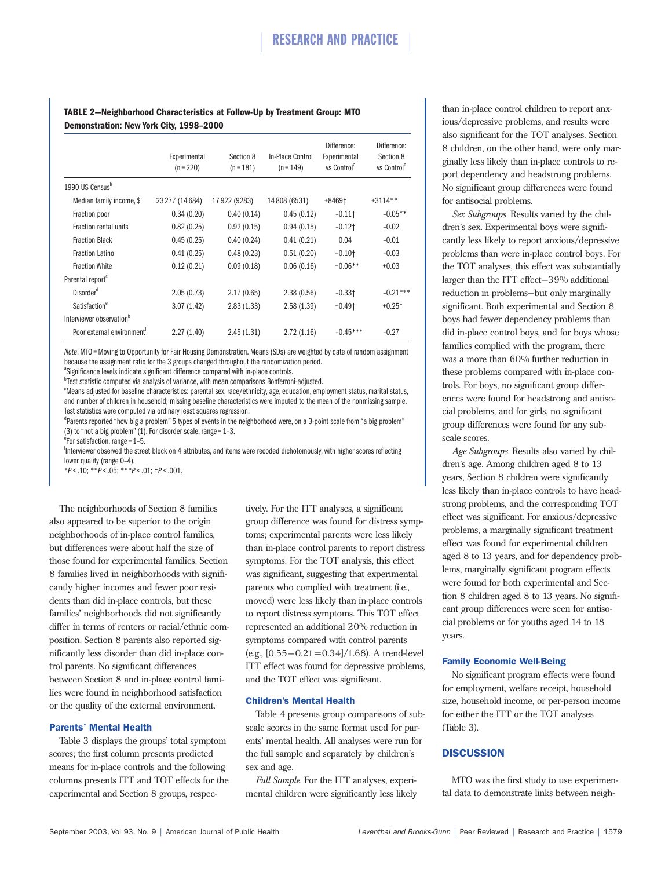## **TABLE 2—Neighborhood Characteristics at Follow-Up by Treatment Group: MTO Demonstration: New York City, 1998–2000**

|                                        | Experimental<br>$(n = 220)$ | Section 8<br>$(n = 181)$ | In-Place Control<br>$(n = 149)$ | Difference:<br>Experimental<br>vs Control <sup>a</sup> | Difference:<br>Section 8<br>vs Control <sup>a</sup> |
|----------------------------------------|-----------------------------|--------------------------|---------------------------------|--------------------------------------------------------|-----------------------------------------------------|
| 1990 US Census <sup>b</sup>            |                             |                          |                                 |                                                        |                                                     |
| Median family income, \$               | 23277 (14684)               | 17922 (9283)             | 14 808 (6531)                   | $+8469$ <sup>+</sup>                                   | $+3114**$                                           |
| Fraction poor                          | 0.34(0.20)                  | 0.40(0.14)               | 0.45(0.12)                      | $-0.11$ †                                              | $-0.05**$                                           |
| Fraction rental units                  | 0.82(0.25)                  | 0.92(0.15)               | 0.94(0.15)                      | $-0.12$ †                                              | $-0.02$                                             |
| <b>Fraction Black</b>                  | 0.45(0.25)                  | 0.40(0.24)               | 0.41(0.21)                      | 0.04                                                   | $-0.01$                                             |
| <b>Fraction Latino</b>                 | 0.41(0.25)                  | 0.48(0.23)               | 0.51(0.20)                      | $+0.10$ <sup>+</sup>                                   | $-0.03$                                             |
| <b>Fraction White</b>                  | 0.12(0.21)                  | 0.09(0.18)               | 0.06(0.16)                      | $+0.06**$                                              | $+0.03$                                             |
| Parental report                        |                             |                          |                                 |                                                        |                                                     |
| Disorder <sup>d</sup>                  | 2.05(0.73)                  | 2.17(0.65)               | 2.38(0.56)                      | $-0.33$ <sup>+</sup>                                   | $-0.21***$                                          |
| Satisfaction <sup>e</sup>              | 3.07(1.42)                  | 2.83(1.33)               | 2.58(1.39)                      | $+0.49$ <sup>+</sup>                                   | $+0.25*$                                            |
| Interviewer observation <sup>b</sup>   |                             |                          |                                 |                                                        |                                                     |
| Poor external environment <sup>T</sup> | 2.27(1.40)                  | 2.45(1.31)               | 2.72(1.16)                      | $-0.45***$                                             | $-0.27$                                             |

*Note*. MTO=Moving to Opportunity for Fair Housing Demonstration. Means (SDs) are weighted by date of random assignment because the assignment ratio for the 3 groups changed throughout the randomization period.

<sup>a</sup>Significance levels indicate significant difference compared with in-place controls. <sup>b</sup> Test statistic computed via analysis of variance, with mean comparisons Bonferroni-adjusted.

<sup>c</sup>Means adjusted for baseline characteristics: parental sex, race/ethnicity, age, education, employment status, marital status, and number of children in household; missing baseline characteristics were imputed to the mean of the nonmissing sample. Test statistics were computed via ordinary least squares regression.

<sup>d</sup>Parents reported "how big a problem" 5 types of events in the neighborhood were, on a 3-point scale from "a big problem" (3) to "not a big problem" (1). For disorder scale, range = 1–3.

 $\overrightarrow{e}$  For satisfaction, range = 1-5.

<sup>f</sup>Interviewer observed the street block on 4 attributes, and items were recoded dichotomously, with higher scores reflecting lower quality (range 0–4).

\**P* < .10; \*\**P* < .05; \*\*\**P* < .01; †*P* < .001.

The neighborhoods of Section 8 families also appeared to be superior to the origin neighborhoods of in-place control families, but differences were about half the size of those found for experimental families. Section 8 families lived in neighborhoods with significantly higher incomes and fewer poor residents than did in-place controls, but these families' neighborhoods did not significantly differ in terms of renters or racial/ethnic composition. Section 8 parents also reported significantly less disorder than did in-place control parents. No significant differences between Section 8 and in-place control families were found in neighborhood satisfaction or the quality of the external environment.

## Parents' Mental Health

Table 3 displays the groups' total symptom scores; the first column presents predicted means for in-place controls and the following columns presents ITT and TOT effects for the experimental and Section 8 groups, respec-

tively. For the ITT analyses, a significant group difference was found for distress symptoms; experimental parents were less likely than in-place control parents to report distress symptoms. For the TOT analysis, this effect was significant**,** suggesting that experimental parents who complied with treatment (i.e., moved) were less likely than in-place controls to report distress symptoms. This TOT effect represented an additional 20% reduction in symptoms compared with control parents  $(e.g., [0.55-0.21=0.34]/1.68)$ . A trend-level ITT effect was found for depressive problems, and the TOT effect was significant.

## Children's Mental Health

Table 4 presents group comparisons of subscale scores in the same format used for parents' mental health. All analyses were run for the full sample and separately by children's sex and age.

*Full Sample.* For the ITT analyses, experimental children were significantly less likely than in-place control children to report anxious/depressive problems, and results were also significant for the TOT analyses. Section 8 children, on the other hand, were only marginally less likely than in-place controls to report dependency and headstrong problems. No significant group differences were found for antisocial problems.

*Sex Subgroups.* Results varied by the children's sex. Experimental boys were significantly less likely to report anxious/depressive problems than were in-place control boys. For the TOT analyses, this effect was substantially larger than the ITT effect—39% additional reduction in problems—but only marginally significant. Both experimental and Section 8 boys had fewer dependency problems than did in-place control boys, and for boys whose families complied with the program, there was a more than 60% further reduction in these problems compared with in-place controls. For boys, no significant group differences were found for headstrong and antisocial problems, and for girls, no significant group differences were found for any subscale scores.

*Age Subgroups.* Results also varied by children's age. Among children aged 8 to 13 years, Section 8 children were significantly less likely than in-place controls to have headstrong problems, and the corresponding TOT effect was significant. For anxious/depressive problems, a marginally significant treatment effect was found for experimental children aged 8 to 13 years, and for dependency problems, marginally significant program effects were found for both experimental and Section 8 children aged 8 to 13 years. No significant group differences were seen for antisocial problems or for youths aged 14 to 18 years.

## Family Economic Well-Being

No significant program effects were found for employment, welfare receipt, household size, household income, or per-person income for either the ITT or the TOT analyses (Table 3).

## **DISCUSSION**

MTO was the first study to use experimental data to demonstrate links between neigh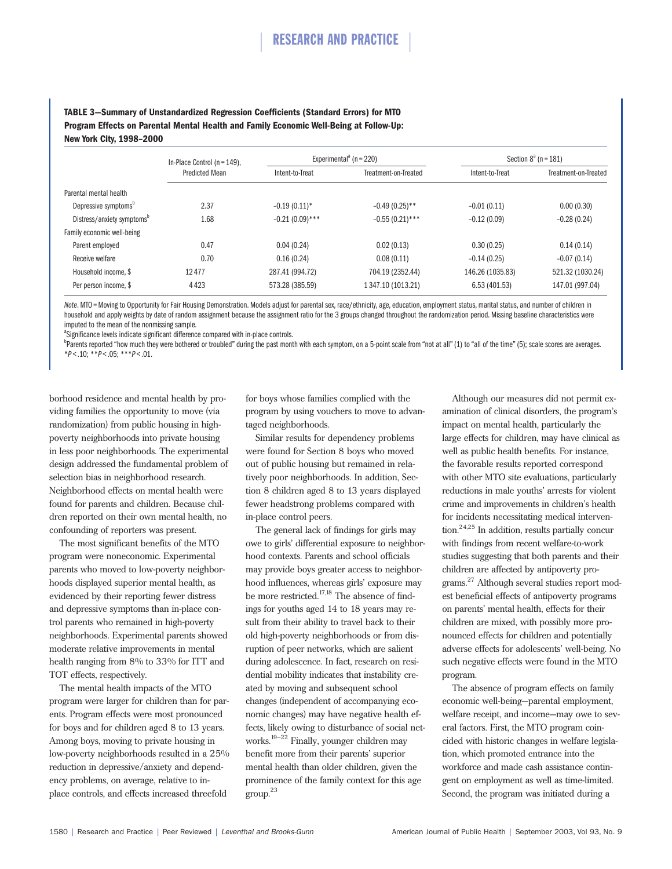**TABLE 3—Summary of Unstandardized Regression Coefficients (Standard Errors) for MTO Program Effects on Parental Mental Health and Family Economic Well-Being at Follow-Up: New York City, 1998–2000**

|                                  | In-Place Control ( $n = 149$ ),<br><b>Predicted Mean</b> | Experimental <sup>a</sup> (n = 220) |                      | Section $8^a$ (n = 181) |                      |
|----------------------------------|----------------------------------------------------------|-------------------------------------|----------------------|-------------------------|----------------------|
|                                  |                                                          | Intent-to-Treat                     | Treatment-on-Treated | Intent-to-Treat         | Treatment-on-Treated |
| Parental mental health           |                                                          |                                     |                      |                         |                      |
| Depressive symptoms <sup>b</sup> | 2.37                                                     | $-0.19(0.11)*$                      | $-0.49(0.25)$ **     | $-0.01(0.11)$           | 0.00(0.30)           |
| Distress/anxiety symptoms"       | 1.68                                                     | $-0.21(0.09)$ ***                   | $-0.55(0.21)$ ***    | $-0.12(0.09)$           | $-0.28(0.24)$        |
| Family economic well-being       |                                                          |                                     |                      |                         |                      |
| Parent employed                  | 0.47                                                     | 0.04(0.24)                          | 0.02(0.13)           | 0.30(0.25)              | 0.14(0.14)           |
| Receive welfare                  | 0.70                                                     | 0.16(0.24)                          | 0.08(0.11)           | $-0.14(0.25)$           | $-0.07(0.14)$        |
| Household income. \$             | 12477                                                    | 287.41 (994.72)                     | 704.19 (2352.44)     | 146.26 (1035.83)        | 521.32 (1030.24)     |
| Per person income, \$            | 4423                                                     | 573.28 (385.59)                     | 1347.10 (1013.21)    | 6.53 (401.53)           | 147.01 (997.04)      |

Note. MTO = Moving to Opportunity for Fair Housing Demonstration. Models adjust for parental sex, race/ethnicity, age, education, employment status, marital status, and number of children in household and apply weights by date of random assignment because the assignment ratio for the 3 groups changed throughout the randomization period. Missing baseline characteristics were imputed to the mean of the nonmissing sample.

<sup>a</sup>Significance levels indicate significant difference compared with in-place controls.

b<br>Parents reported "how much they were bothered or troubled" during the past month with each symptom, on a 5-point scale from "not at all" (1) to "all of the time" (5); scale scores are averages. \**P* < .10; \*\**P* < .05; \*\*\**P* < .01.

borhood residence and mental health by providing families the opportunity to move (via randomization) from public housing in highpoverty neighborhoods into private housing in less poor neighborhoods. The experimental design addressed the fundamental problem of selection bias in neighborhood research. Neighborhood effects on mental health were found for parents and children. Because children reported on their own mental health, no confounding of reporters was present.

The most significant benefits of the MTO program were noneconomic. Experimental parents who moved to low-poverty neighborhoods displayed superior mental health, as evidenced by their reporting fewer distress and depressive symptoms than in-place control parents who remained in high-poverty neighborhoods. Experimental parents showed moderate relative improvements in mental health ranging from 8% to 33% for ITT and TOT effects, respectively.

The mental health impacts of the MTO program were larger for children than for parents. Program effects were most pronounced for boys and for children aged 8 to 13 years. Among boys, moving to private housing in low-poverty neighborhoods resulted in a 25% reduction in depressive/anxiety and dependency problems, on average, relative to inplace controls, and effects increased threefold

for boys whose families complied with the program by using vouchers to move to advantaged neighborhoods.

Similar results for dependency problems were found for Section 8 boys who moved out of public housing but remained in relatively poor neighborhoods. In addition, Section 8 children aged 8 to 13 years displayed fewer headstrong problems compared with in-place control peers.

The general lack of findings for girls may owe to girls' differential exposure to neighborhood contexts. Parents and school officials may provide boys greater access to neighborhood influences, whereas girls' exposure may be more restricted.<sup>17,18</sup> The absence of findings for youths aged 14 to 18 years may result from their ability to travel back to their old high-poverty neighborhoods or from disruption of peer networks, which are salient during adolescence. In fact, research on residential mobility indicates that instability created by moving and subsequent school changes (independent of accompanying economic changes) may have negative health effects, likely owing to disturbance of social networks.19–22 Finally, younger children may benefit more from their parents' superior mental health than older children, given the prominence of the family context for this age group.23

Although our measures did not permit examination of clinical disorders, the program's impact on mental health, particularly the large effects for children, may have clinical as well as public health benefits. For instance, the favorable results reported correspond with other MTO site evaluations, particularly reductions in male youths' arrests for violent crime and improvements in children's health for incidents necessitating medical intervention.24,25 In addition, results partially concur with findings from recent welfare-to-work studies suggesting that both parents and their children are affected by antipoverty programs.27 Although several studies report modest beneficial effects of antipoverty programs on parents' mental health, effects for their children are mixed, with possibly more pronounced effects for children and potentially adverse effects for adolescents' well-being. No such negative effects were found in the MTO program.

The absence of program effects on family economic well-being—parental employment, welfare receipt, and income—may owe to several factors. First, the MTO program coincided with historic changes in welfare legislation, which promoted entrance into the workforce and made cash assistance contingent on employment as well as time-limited. Second, the program was initiated during a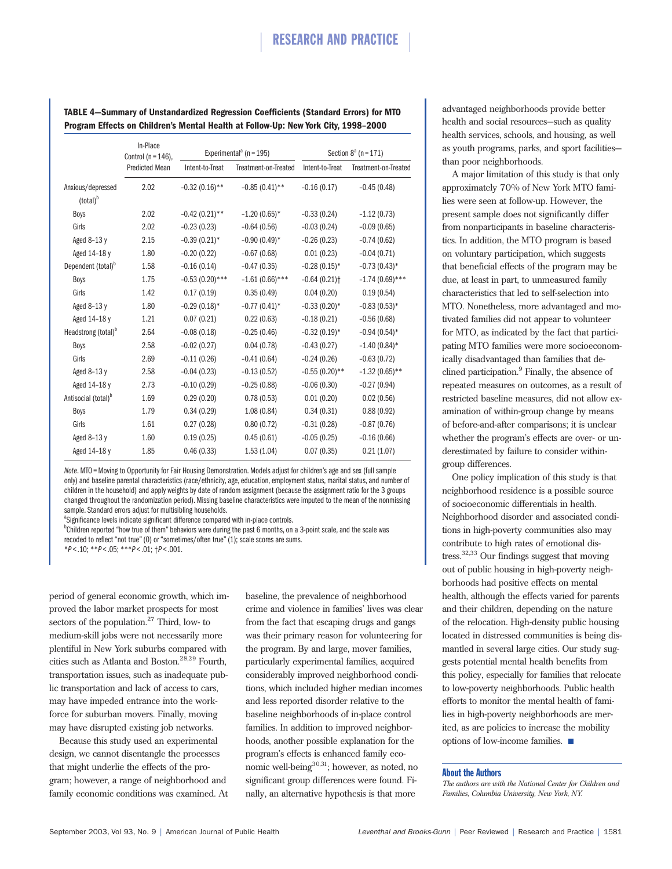|                                           | In-Place<br>Control ( $n = 146$ ), |                   | Experimental <sup>ª</sup> (n = 195) |                            | Section $8^a$ (n = 171) |
|-------------------------------------------|------------------------------------|-------------------|-------------------------------------|----------------------------|-------------------------|
|                                           | Predicted Mean                     | Intent-to-Treat   | Treatment-on-Treated                | Intent-to-Treat            | Treatment-on-Treated    |
| Anxious/depressed<br>(total) <sup>b</sup> | 2.02                               | $-0.32(0.16)$ **  | $-0.85(0.41)$ **                    | $-0.16(0.17)$              | $-0.45(0.48)$           |
| Boys                                      | 2.02                               | $-0.42(0.21)$ **  | $-1.20(0.65)$ *                     | $-0.33(0.24)$              | $-1.12(0.73)$           |
| Girls                                     | 2.02                               | $-0.23(0.23)$     | $-0.64(0.56)$                       | $-0.03(0.24)$              | $-0.09(0.65)$           |
| Aged 8-13 y                               | 2.15                               | $-0.39(0.21)$ *   | $-0.90(0.49)$ *                     | $-0.26(0.23)$              | $-0.74(0.62)$           |
| Aged 14-18 y                              | 1.80                               | $-0.20(0.22)$     | $-0.67(0.68)$                       | 0.01(0.23)                 | $-0.04(0.71)$           |
| Dependent (total) <sup>b</sup>            | 1.58                               | $-0.16(0.14)$     | $-0.47(0.35)$                       | $-0.28(0.15)$ *            | $-0.73(0.43)$ *         |
| Boys                                      | 1.75                               | $-0.53(0.20)$ *** | $-1.61(0.66)$ ***                   | $-0.64(0.21)$ <sup>+</sup> | $-1.74(0.69)$ ***       |
| Girls                                     | 1.42                               | 0.17(0.19)        | 0.35(0.49)                          | 0.04(0.20)                 | 0.19(0.54)              |
| Aged 8-13 y                               | 1.80                               | $-0.29(0.18)$ *   | $-0.77(0.41)^*$                     | $-0.33(0.20)$ *            | $-0.83(0.53)*$          |
| Aged 14-18 y                              | 1.21                               | 0.07(0.21)        | 0.22(0.63)                          | $-0.18(0.21)$              | $-0.56(0.68)$           |
| Headstrong (total) <sup>b</sup>           | 2.64                               | $-0.08(0.18)$     | $-0.25(0.46)$                       | $-0.32(0.19)$ *            | $-0.94(0.54)$ *         |
| Boys                                      | 2.58                               | $-0.02(0.27)$     | 0.04(0.78)                          | $-0.43(0.27)$              | $-1.40(0.84)$ *         |
| Girls                                     | 2.69                               | $-0.11(0.26)$     | $-0.41(0.64)$                       | $-0.24(0.26)$              | $-0.63(0.72)$           |
| Aged 8-13 y                               | 2.58                               | $-0.04(0.23)$     | $-0.13(0.52)$                       | $-0.55(0.20)$ **           | $-1.32(0.65)$ **        |
| Aged 14-18 y                              | 2.73                               | $-0.10(0.29)$     | $-0.25(0.88)$                       | $-0.06(0.30)$              | $-0.27(0.94)$           |
| Antisocial (total) <sup>b</sup>           | 1.69                               | 0.29(0.20)        | 0.78(0.53)                          | 0.01(0.20)                 | 0.02(0.56)              |
| Boys                                      | 1.79                               | 0.34(0.29)        | 1.08(0.84)                          | 0.34(0.31)                 | 0.88(0.92)              |
| Girls                                     | 1.61                               | 0.27(0.28)        | 0.80(0.72)                          | $-0.31(0.28)$              | $-0.87(0.76)$           |
| Aged 8-13 y                               | 1.60                               | 0.19(0.25)        | 0.45(0.61)                          | $-0.05(0.25)$              | $-0.16(0.66)$           |
| Aged 14-18 y                              | 1.85                               | 0.46(0.33)        | 1.53(1.04)                          | 0.07(0.35)                 | 0.21(1.07)              |

**TABLE 4—Summary of Unstandardized Regression Coefficients (Standard Errors) for MTO Program Effects on Children's Mental Health at Follow-Up: New York City, 1998–2000**

*Note*. MTO=Moving to Opportunity for Fair Housing Demonstration. Models adjust for children's age and sex (full sample only) and baseline parental characteristics (race/ethnicity, age, education, employment status, marital status, and number of children in the household) and apply weights by date of random assignment (because the assignment ratio for the 3 groups changed throughout the randomization period). Missing baseline characteristics were imputed to the mean of the nonmissing sample. Standard errors adjust for multisibling households.

<sup>a</sup>Significance levels indicate significant difference compared with in-place controls.

<sup>b</sup>Children reported "how true of them" behaviors were during the past 6 months, on a 3-point scale, and the scale was recoded to reflect "not true" (0) or "sometimes/often true" (1); scale scores are sums.

\**P* < .10; \*\**P* < .05; \*\*\**P* < .01; †*P* < .001.

period of general economic growth, which improved the labor market prospects for most sectors of the population. $27$  Third, low- to medium-skill jobs were not necessarily more plentiful in New York suburbs compared with cities such as Atlanta and Boston.28,29 Fourth, transportation issues, such as inadequate public transportation and lack of access to cars, may have impeded entrance into the workforce for suburban movers. Finally, moving may have disrupted existing job networks.

Because this study used an experimental design, we cannot disentangle the processes that might underlie the effects of the program; however, a range of neighborhood and family economic conditions was examined. At baseline, the prevalence of neighborhood crime and violence in families' lives was clear from the fact that escaping drugs and gangs was their primary reason for volunteering for the program. By and large, mover families, particularly experimental families, acquired considerably improved neighborhood conditions, which included higher median incomes and less reported disorder relative to the baseline neighborhoods of in-place control families. In addition to improved neighborhoods, another possible explanation for the program's effects is enhanced family economic well-being<sup>30,31</sup>; however, as noted, no significant group differences were found. Finally, an alternative hypothesis is that more

advantaged neighborhoods provide better health and social resources—such as quality health services, schools, and housing, as well as youth programs, parks, and sport facilities than poor neighborhoods.

A major limitation of this study is that only approximately 70% of New York MTO families were seen at follow-up. However, the present sample does not significantly differ from nonparticipants in baseline characteristics. In addition, the MTO program is based on voluntary participation, which suggests that beneficial effects of the program may be due, at least in part, to unmeasured family characteristics that led to self-selection into MTO. Nonetheless, more advantaged and motivated families did not appear to volunteer for MTO, as indicated by the fact that participating MTO families were more socioeconomically disadvantaged than families that declined participation.<sup>9</sup> Finally, the absence of repeated measures on outcomes, as a result of restricted baseline measures, did not allow examination of within-group change by means of before-and-after comparisons; it is unclear whether the program's effects are over- or underestimated by failure to consider withingroup differences.

One policy implication of this study is that neighborhood residence is a possible source of socioeconomic differentials in health. Neighborhood disorder and associated conditions in high-poverty communities also may contribute to high rates of emotional distress.32,33 Our findings suggest that moving out of public housing in high-poverty neighborhoods had positive effects on mental health, although the effects varied for parents and their children, depending on the nature of the relocation. High-density public housing located in distressed communities is being dismantled in several large cities. Our study suggests potential mental health benefits from this policy, especially for families that relocate to low-poverty neighborhoods. Public health efforts to monitor the mental health of families in high-poverty neighborhoods are merited, as are policies to increase the mobility options of low-income families.

#### About the Authors

*The authors are with the National Center for Children and Families, Columbia University, New York, NY.*